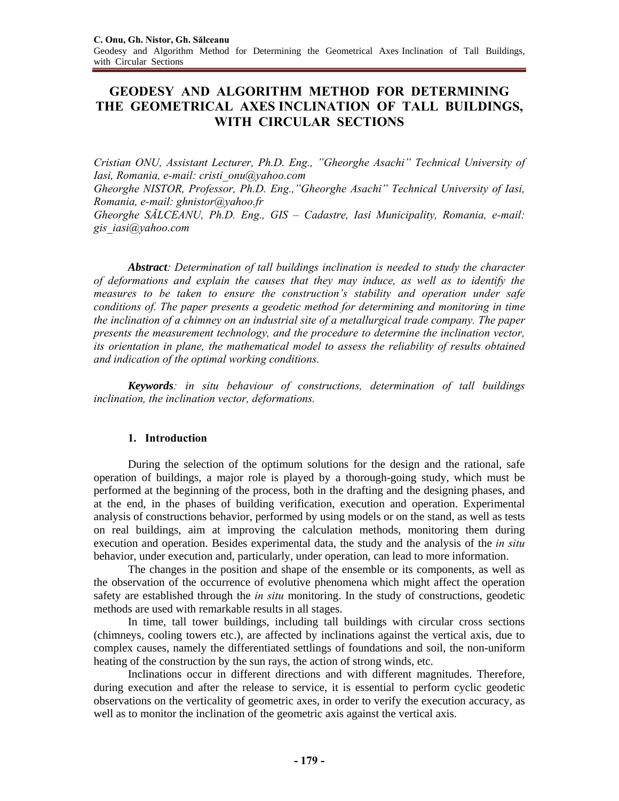# **GEODESY AND ALGORITHM METHOD FOR DETERMINING THE GEOMETRICAL AXES INCLINATION OF TALL BUILDINGS, WITH CIRCULAR SECTIONS**

*Cristian ONU, Assistant Lecturer, Ph.D. Eng., "Gheorghe Asachi" Technical University of Iasi, Romania, e-mail: cristi\_onu@yahoo.com* 

*Gheorghe NISTOR, Professor, Ph.D. Eng.,"Gheorghe Asachi" Technical University of Iasi, Romania, e-mail: ghnistor@yahoo.fr* 

*Gheorghe SĂLCEANU, Ph.D. Eng., GIS – Cadastre, Iasi Municipality, Romania, e-mail: gis\_iasi@yahoo.com*

*Abstract: Determination of tall buildings inclination is needed to study the character of deformations and explain the causes that they may induce, as well as to identify the measures to be taken to ensure the construction's stability and operation under safe conditions of. The paper presents a geodetic method for determining and monitoring in time the inclination of a chimney on an industrial site of a metallurgical trade company. The paper presents the measurement technology, and the procedure to determine the inclination vector, its orientation in plane, the mathematical model to assess the reliability of results obtained and indication of the optimal working conditions.* 

*Keywords: in situ behaviour of constructions, determination of tall buildings inclination, the inclination vector, deformations.* 

# **1. Introduction**

During the selection of the optimum solutions for the design and the rational, safe operation of buildings, a major role is played by a thorough-going study, which must be performed at the beginning of the process, both in the drafting and the designing phases, and at the end, in the phases of building verification, execution and operation. Experimental analysis of constructions behavior, performed by using models or on the stand, as well as tests on real buildings, aim at improving the calculation methods, monitoring them during execution and operation. Besides experimental data, the study and the analysis of the *in situ* behavior, under execution and, particularly, under operation, can lead to more information.

The changes in the position and shape of the ensemble or its components, as well as the observation of the occurrence of evolutive phenomena which might affect the operation safety are established through the *in situ* monitoring. In the study of constructions, geodetic methods are used with remarkable results in all stages.

In time, tall tower buildings, including tall buildings with circular cross sections (chimneys, cooling towers etc.), are affected by inclinations against the vertical axis, due to complex causes, namely the differentiated settlings of foundations and soil, the non-uniform heating of the construction by the sun rays, the action of strong winds, etc.

Inclinations occur in different directions and with different magnitudes. Therefore, during execution and after the release to service, it is essential to perform cyclic geodetic observations on the verticality of geometric axes, in order to verify the execution accuracy, as well as to monitor the inclination of the geometric axis against the vertical axis.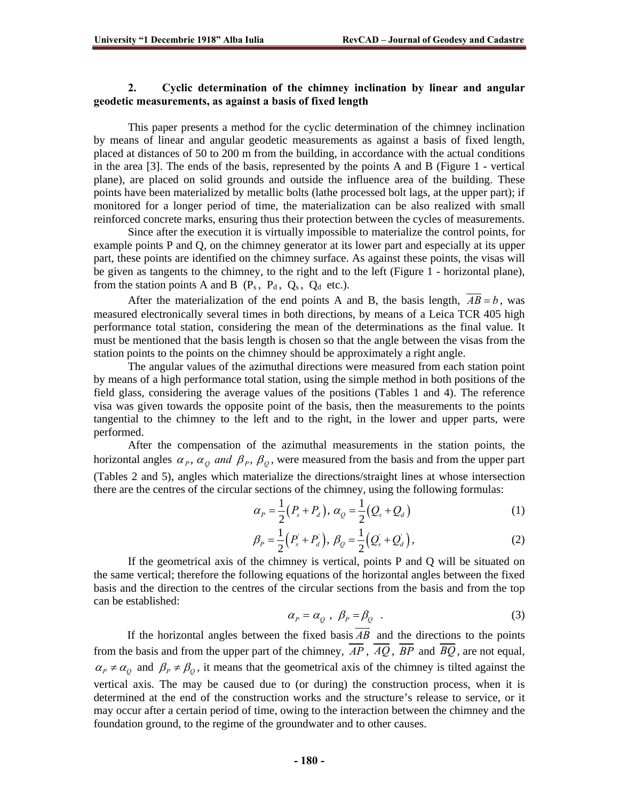# **2. Cyclic determination of the chimney inclination by linear and angular geodetic measurements, as against a basis of fixed length**

This paper presents a method for the cyclic determination of the chimney inclination by means of linear and angular geodetic measurements as against a basis of fixed length, placed at distances of 50 to 200 m from the building, in accordance with the actual conditions in the area [3]. The ends of the basis, represented by the points A and B (Figure 1 - vertical plane), are placed on solid grounds and outside the influence area of the building. These points have been materialized by metallic bolts (lathe processed bolt lags, at the upper part); if monitored for a longer period of time, the materialization can be also realized with small reinforced concrete marks, ensuring thus their protection between the cycles of measurements.

Since after the execution it is virtually impossible to materialize the control points, for example points P and Q, on the chimney generator at its lower part and especially at its upper part, these points are identified on the chimney surface. As against these points, the visas will be given as tangents to the chimney, to the right and to the left (Figure 1 - horizontal plane), from the station points A and B  $(P_s, P_d, Q_s, Q_d$  etc.).

After the materialization of the end points A and B, the basis length,  $AB = b$ , was measured electronically several times in both directions, by means of a Leica TCR 405 high performance total station, considering the mean of the determinations as the final value. It must be mentioned that the basis length is chosen so that the angle between the visas from the station points to the points on the chimney should be approximately a right angle.

The angular values of the azimuthal directions were measured from each station point by means of a high performance total station, using the simple method in both positions of the field glass, considering the average values of the positions (Tables 1 and 4). The reference visa was given towards the opposite point of the basis, then the measurements to the points tangential to the chimney to the left and to the right, in the lower and upper parts, were performed.

After the compensation of the azimuthal measurements in the station points, the horizontal angles  $\alpha_p$ ,  $\alpha_q$  and  $\beta_p$ ,  $\beta_q$ , were measured from the basis and from the upper part (Tables 2 and 5), angles which materialize the directions/straight lines at whose intersection there are the centres of the circular sections of the chimney, using the following formulas:

$$
\alpha_{P} = \frac{1}{2}(P_{s} + P_{d}), \alpha_{Q} = \frac{1}{2}(Q_{s} + Q_{d})
$$
\n(1)

$$
\beta_P = \frac{1}{2} (P_s + P_d), \ \beta_Q = \frac{1}{2} (Q_s + Q_d), \tag{2}
$$

If the geometrical axis of the chimney is vertical, points P and Q will be situated on the same vertical; therefore the following equations of the horizontal angles between the fixed basis and the direction to the centres of the circular sections from the basis and from the top can be established:

$$
\alpha_p = \alpha_Q , \ \beta_p = \beta_Q . \tag{3}
$$

If the horizontal angles between the fixed basis  $\overline{AB}$  and the directions to the points from the basis and from the upper part of the chimney,  $\overline{AP}$ ,  $\overline{AQ}$ ,  $\overline{BP}$  and  $\overline{BQ}$ , are not equal,  $\alpha_p \neq \alpha_Q$  and  $\beta_p \neq \beta_Q$ , it means that the geometrical axis of the chimney is tilted against the vertical axis. The may be caused due to (or during) the construction process, when it is determined at the end of the construction works and the structure's release to service, or it may occur after a certain period of time, owing to the interaction between the chimney and the foundation ground, to the regime of the groundwater and to other causes.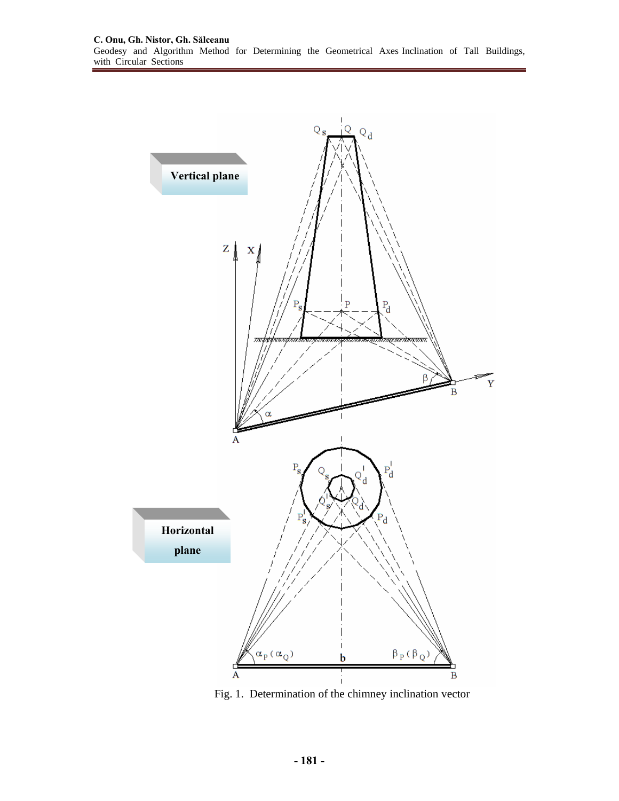

Fig. 1. Determination of the chimney inclination vector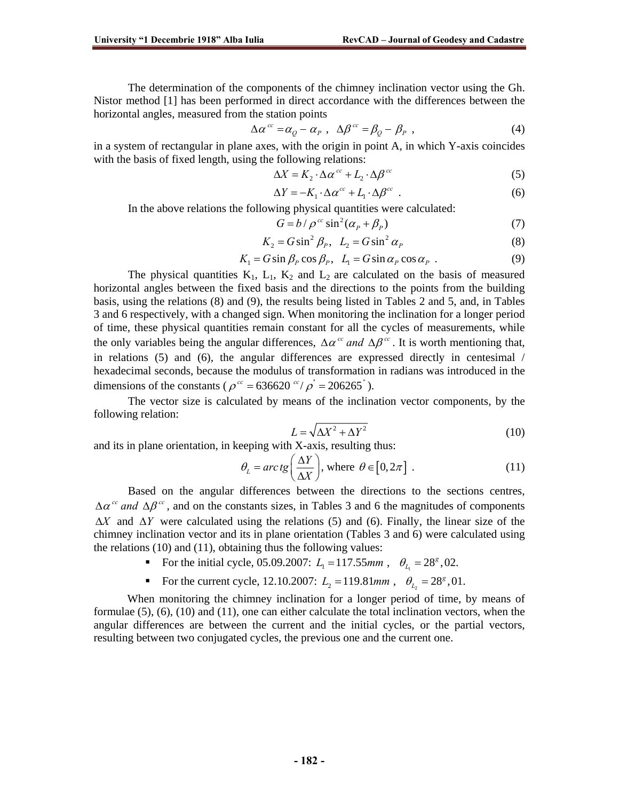The determination of the components of the chimney inclination vector using the Gh. Nistor method [1] has been performed in direct accordance with the differences between the horizontal angles, measured from the station points

$$
\Delta \alpha^{cc} = \alpha_Q - \alpha_P , \ \Delta \beta^{cc} = \beta_Q - \beta_P , \qquad (4)
$$

in a system of rectangular in plane axes, with the origin in point A, in which Y-axis coincides with the basis of fixed length, using the following relations:

$$
\Delta X = K_2 \cdot \Delta \alpha^{cc} + L_2 \cdot \Delta \beta^{cc}
$$
 (5)

$$
\Delta Y = -K_1 \cdot \Delta \alpha^{cc} + L_1 \cdot \Delta \beta^{cc} \quad . \tag{6}
$$

In the above relations the following physical quantities were calculated:

$$
G = b / \rho^{cc} \sin^2(\alpha_p + \beta_p)
$$
 (7)

$$
K_2 = G \sin^2 \beta_P, \quad L_2 = G \sin^2 \alpha_P \tag{8}
$$

$$
K_1 = G \sin \beta_P \cos \beta_P, \ \ L_1 = G \sin \alpha_P \cos \alpha_P \ . \tag{9}
$$

The physical quantities  $K_1$ ,  $L_1$ ,  $K_2$  and  $L_2$  are calculated on the basis of measured horizontal angles between the fixed basis and the directions to the points from the building basis, using the relations (8) and (9), the results being listed in Tables 2 and 5, and, in Tables 3 and 6 respectively, with a changed sign. When monitoring the inclination for a longer period of time, these physical quantities remain constant for all the cycles of measurements, while the only variables being the angular differences,  $\Delta \alpha^{cc}$  and  $\Delta \beta^{cc}$ . It is worth mentioning that, in relations (5) and (6), the angular differences are expressed directly in centesimal / hexadecimal seconds, because the modulus of transformation in radians was introduced in the dimensions of the constants ( $\rho^{cc} = 636620 \frac{cc}{\rho} = 206265$ ).

 The vector size is calculated by means of the inclination vector components, by the following relation:

$$
L = \sqrt{\Delta X^2 + \Delta Y^2}
$$
 (10)

and its in plane orientation, in keeping with X-axis, resulting thus:

$$
\theta_L = \arctg\left(\frac{\Delta Y}{\Delta X}\right), \text{ where } \theta \in [0, 2\pi] . \tag{11}
$$

Based on the angular differences between the directions to the sections centres,  $\Delta \alpha^{cc}$  *and*  $\Delta \beta^{cc}$ , and on the constants sizes, in Tables 3 and 6 the magnitudes of components Δ*X* and Δ*Y* were calculated using the relations (5) and (6). Finally, the linear size of the chimney inclination vector and its in plane orientation (Tables 3 and 6) were calculated using the relations (10) and (11), obtaining thus the following values:

- For the initial cycle, 05.09.2007:  $L_1 = 117.55$ mm,  $\theta_L = 28^8$ , 02.
- For the current cycle, 12.10.2007:  $L_2 = 119.81$  mm,  $\theta_L = 28^8$ , 01.

When monitoring the chimney inclination for a longer period of time, by means of formulae (5), (6), (10) and (11), one can either calculate the total inclination vectors, when the angular differences are between the current and the initial cycles, or the partial vectors, resulting between two conjugated cycles, the previous one and the current one.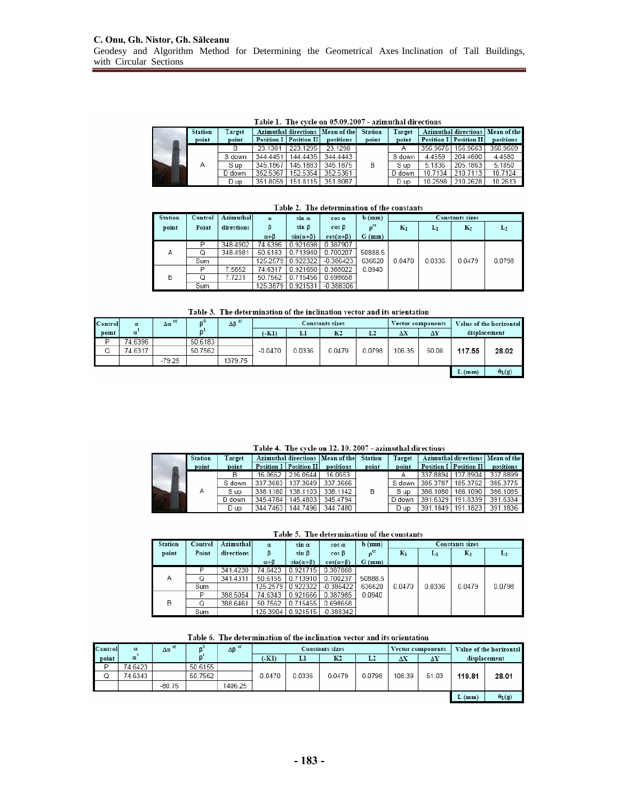Table 1. The cycle on 05.09.2007 - azimuthal directions

|  | <b>Station</b> | Target | Azimuthal directions   Mean of the |                          |           | <b>Station</b> | Target |          |                          | Azimuthal directions   Mean of the |
|--|----------------|--------|------------------------------------|--------------------------|-----------|----------------|--------|----------|--------------------------|------------------------------------|
|  | point          | point  |                                    | Position I   Position II | positions | point          | point  |          | Position I   Position II | positions                          |
|  | Α              |        | 23.1301                            | 223.1295                 | 23.1298   | B              |        | 356.9675 | 156,9663                 | 356,9669                           |
|  |                | S down | 344.4451                           | 144,4435                 | 344.4443  |                | S down | 4.4559   | 204.4600                 | 4.4580                             |
|  |                | S up   | 345.1867                           | 145.1883                 | 345.1875  |                | S up   | 5.1836   | 205.1863                 | 5.1850                             |
|  |                | D down | 352.5367                           | 152.5354                 | 352.5361  |                | D down | 10.7134  | 210.7113                 | 10.7124                            |
|  |                | D up   | 351.8059                           | 151.8115                 | 351.8087  |                | D up   | 10.2598  | 210.2628                 | 10.2613                            |

| Table 2. The determination of the constant |  |
|--------------------------------------------|--|
|--------------------------------------------|--|

| <b>Station</b> | Control | Azimuthal  | $\alpha$         | $sin \alpha$        | $\cos \alpha$       | $b$ (mm)          | <b>Constants sizes</b> |        |        |        |  |
|----------------|---------|------------|------------------|---------------------|---------------------|-------------------|------------------------|--------|--------|--------|--|
| point          | Point   | directions |                  | $sin \beta$         | $cos \beta$         | $p$ <sup>cc</sup> | $K_1$                  | $L_1$  | $K_2$  | $L_2$  |  |
|                |         |            | $\alpha + \beta$ | $sin(\alpha+\beta)$ | $cos(\alpha+\beta)$ | $G$ (mm)          |                        |        |        |        |  |
|                | D       | 348.4902   | 74.6396          | 0.921698            | 0.387907            |                   |                        |        |        |        |  |
| Α              | Q       | 348.4981   | 50.6183          | 0.713940            | 0.700207            | 50888.5           |                        |        |        |        |  |
|                | Sum     |            | 125.2579         | 0.922322            | $-0.386423$         | 636620            | 0.0470                 | 0.0336 | 0.0479 | 0.0798 |  |
|                | P       | 7.5852     | 74.6317          | 0.921650            | 0.388022            | 0.0940            |                        |        |        |        |  |
| в              | Q       | 7.7231     | 50.7562          | 0.715456            | 0.698658            |                   |                        |        |        |        |  |
|                | Sum     |            | 125.3879         | 0.921531            | $-0.388306$         |                   |                        |        |        |        |  |

| Table 3. The determination of the inclination vector and its orientation |  |  |
|--------------------------------------------------------------------------|--|--|
|                                                                          |  |  |

| Control | $\alpha$ | $\Delta \alpha$ <sup>cc</sup> |         | $\Delta \beta$ <sup>cc</sup> |           |        | <b>Constants sizes</b> |        | Vector components |            |          | Value of the horizontal |  |
|---------|----------|-------------------------------|---------|------------------------------|-----------|--------|------------------------|--------|-------------------|------------|----------|-------------------------|--|
| point   | $\alpha$ |                               |         |                              | (KI)      | Ll     | K <sub>2</sub>         | L2     | $\Delta X$        | $\Delta Y$ |          | displacement            |  |
| D       | 74.6396  |                               | 50.6183 |                              |           |        |                        |        |                   |            |          |                         |  |
| Q       | 74.6317  |                               | 50.7562 |                              | $-0.0470$ | 0.0336 | 0.0479                 | 0.0798 | 106.35            | 50.08      | 117.55   | 28.02                   |  |
|         |          | $-79.25$                      |         | 1379.75                      |           |        |                        |        |                   |            |          |                         |  |
|         |          |                               |         |                              |           |        |                        |        |                   |            | $L$ (mm) | $\theta_L(g)$           |  |

Table 4. The cycle on 12. 10. 2007 - azimuthal directions

|  | <b>Station</b> | Target | Azimuthal directions   Mean of the |                          |           | <b>Station</b> | Target |          |                          | Azimuthal directions   Mean of the |
|--|----------------|--------|------------------------------------|--------------------------|-----------|----------------|--------|----------|--------------------------|------------------------------------|
|  | point          | point  |                                    | Position I   Position II | positions | point          | point  |          | Position I   Position II | positions                          |
|  |                |        | 16.0662                            | 216.0644                 | 16.0653   | B              |        |          | 337.8894   137.8904      | 337.8899                           |
|  |                | S down |                                    | 337.3683   137.3649      | 337.3666  |                | S down |          | 385.3787   185.3762      | 385.3775                           |
|  |                | S up   |                                    | 338.1180   138.1103      | 338.1142  |                | S up   | 386.1080 | 186.1090                 | 386.1085                           |
|  |                | D down | 345.4784                           | 145.4803                 | 345.4794  |                | D down | 391.6329 | 191.6339                 | 391.6334                           |
|  |                | D up   |                                    | 344.7463   144.7496      | 344.7480  |                | D up   |          | 391.1849   191.1823      | 391.1836                           |

| Table 5. The determination of the constants |
|---------------------------------------------|
|---------------------------------------------|

| <b>Station</b> | Control | Azimuthal  | α                | $sin \alpha$        | $cos \alpha$        | $b$ ( $mm$ )               | Constants sizes |        |                |        |  |
|----------------|---------|------------|------------------|---------------------|---------------------|----------------------------|-----------------|--------|----------------|--------|--|
| point          | Point   | directions |                  | sin B               | $cos \beta$         | $\mathbf{p}^{\mathsf{cc}}$ | $K_1$           | $L_1$  | $\mathbf{K}_2$ | $L_2$  |  |
|                |         |            | $\alpha + \beta$ | $sin(\alpha+\beta)$ | $cos(\alpha+\beta)$ | $G$ (mm)                   |                 |        |                |        |  |
|                | D       | 341.4230   | 74.6423          | 0.921715            | 0.387868            |                            |                 |        |                |        |  |
| Α              |         | 341.4311   | 50.6155          | 0.713910            | 0.700237            | 50888.5                    |                 |        |                |        |  |
|                | Sum     |            | 125.2579         | 0.922322            | $-0.386422$         | 636620                     | 0.0470          | 0.0336 | 0.0479         | 0.0798 |  |
|                | D       | 388.5054   | 74.6343          | 0.921666            | 0.387985            | 0.0940                     |                 |        |                |        |  |
| B              |         | 388.6461   | 50.7562          | 0.715455            | 0.698658            |                            |                 |        |                |        |  |
|                | Sum     |            | 125.3904         | 0.921515            | $-0.388342$         |                            |                 |        |                |        |  |

Table 6. The determination of the inclination vector and its orientation

| Control | $\alpha$ | $\Delta \alpha$ <sup>cc</sup> |         | $\Delta \beta$ <sup>cc</sup> | Constants sizes<br>Vector components |        |                | Value of the horizontal |        |       |        |                     |
|---------|----------|-------------------------------|---------|------------------------------|--------------------------------------|--------|----------------|-------------------------|--------|-------|--------|---------------------|
| point   | α        |                               |         |                              | (KI)                                 | Ll     | K <sub>2</sub> | L2                      | ΔX     | ΔY    |        | displacement        |
|         | 74.6423  |                               | 50.6155 |                              |                                      |        |                |                         |        |       |        |                     |
| Q       | 74.6343  |                               | 50.7562 |                              | $-0.0470$                            | 0.0336 | 0.0479         | 0.0798                  | 108.39 | 51.03 | 119.81 | 28.01               |
|         |          | $-80.75$                      |         | 1406.25                      |                                      |        |                |                         |        |       |        |                     |
|         |          |                               |         |                              |                                      |        |                |                         |        |       | L(mm)  | $\theta_{\rm L}(g)$ |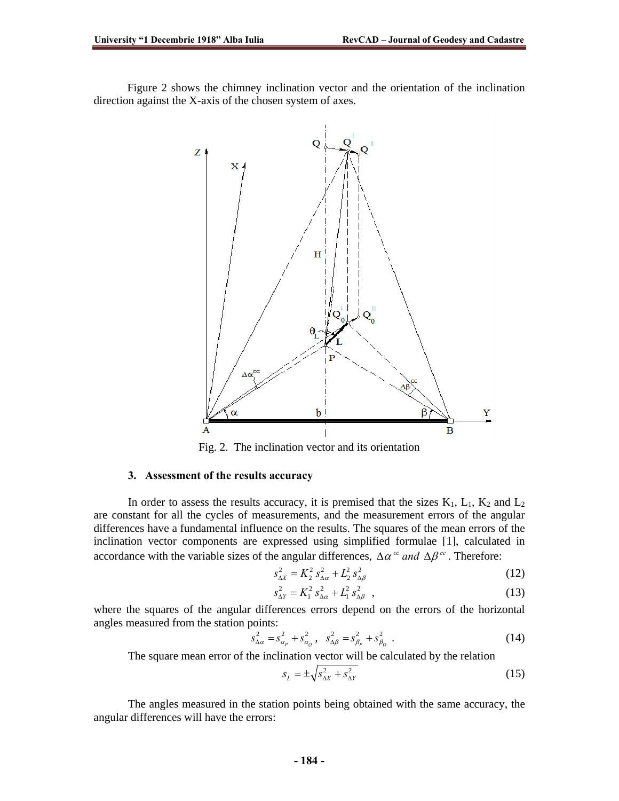Figure 2 shows the chimney inclination vector and the orientation of the inclination direction against the X-axis of the chosen system of axes.



Fig. 2. The inclination vector and its orientation

#### **3. Assessment of the results accuracy**

In order to assess the results accuracy, it is premised that the sizes  $K_1$ ,  $L_1$ ,  $K_2$  and  $L_2$ are constant for all the cycles of measurements, and the measurement errors of the angular differences have a fundamental influence on the results. The squares of the mean errors of the inclination vector components are expressed using simplified formulae [1], calculated in accordance with the variable sizes of the angular differences,  $\Delta \alpha^{cc}$  and  $\Delta \beta^{cc}$ . Therefore:

$$
s_{\Delta X}^2 = K_2^2 \, s_{\Delta \alpha}^2 + L_2^2 \, s_{\Delta \beta}^2 \tag{12}
$$

$$
s_{\Delta Y}^2 = K_1^2 \, s_{\Delta \alpha}^2 + L_1^2 \, s_{\Delta \beta}^2 \quad , \tag{13}
$$

where the squares of the angular differences errors depend on the errors of the horizontal angles measured from the station points:

$$
s_{\Delta a}^2 = s_{\alpha_p}^2 + s_{\alpha_p}^2, \quad s_{\Delta \beta}^2 = s_{\beta_p}^2 + s_{\beta_q}^2 \quad . \tag{14}
$$

The square mean error of the inclination vector will be calculated by the relation

$$
s_L = \pm \sqrt{s_{\Delta X}^2 + s_{\Delta Y}^2} \tag{15}
$$

The angles measured in the station points being obtained with the same accuracy, the angular differences will have the errors: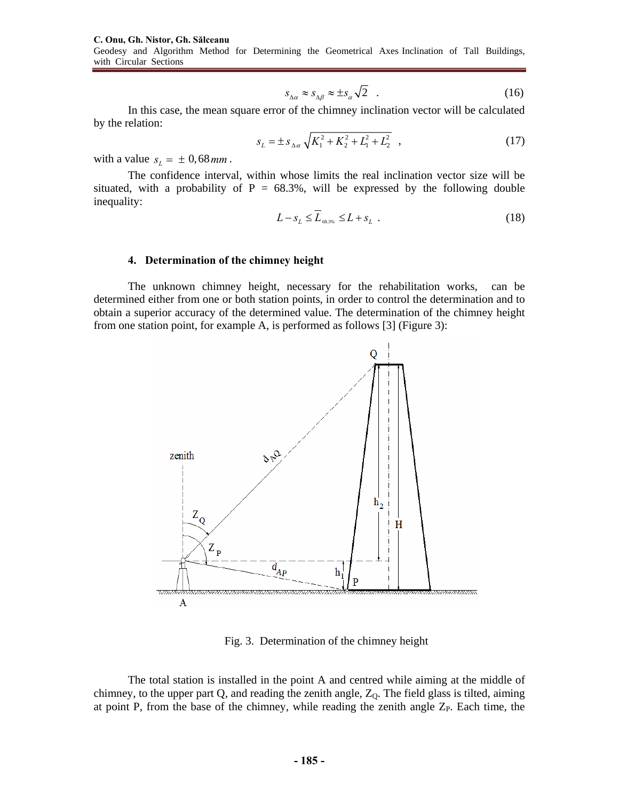**C. Onu, Gh. Nistor, Gh. Sălceanu**  Geodesy and Algorithm Method for Determining the Geometrical Axes Inclination of Tall Buildings, with Circular Sections

$$
s_{\Delta a} \approx s_{\Delta \beta} \approx \pm s_{\alpha} \sqrt{2} \quad . \tag{16}
$$

In this case, the mean square error of the chimney inclination vector will be calculated by the relation:

$$
s_L = \pm s_{\Delta\alpha} \sqrt{K_1^2 + K_2^2 + L_1^2 + L_2^2} \quad , \tag{17}
$$

with a value  $s_L = \pm 0.68$  *mm*.

The confidence interval, within whose limits the real inclination vector size will be situated, with a probability of  $P = 68.3\%$ , will be expressed by the following double inequality:

$$
L - s_L \le \overline{L}_{\text{ss},\text{ss}} \le L + s_L \tag{18}
$$

#### **4. Determination of the chimney height**

The unknown chimney height, necessary for the rehabilitation works, can be determined either from one or both station points, in order to control the determination and to obtain a superior accuracy of the determined value. The determination of the chimney height from one station point, for example A, is performed as follows [3] (Figure 3):



Fig. 3. Determination of the chimney height

The total station is installed in the point A and centred while aiming at the middle of chimney, to the upper part Q, and reading the zenith angle,  $Z_0$ . The field glass is tilted, aiming at point P, from the base of the chimney, while reading the zenith angle  $Z_{P}$ . Each time, the